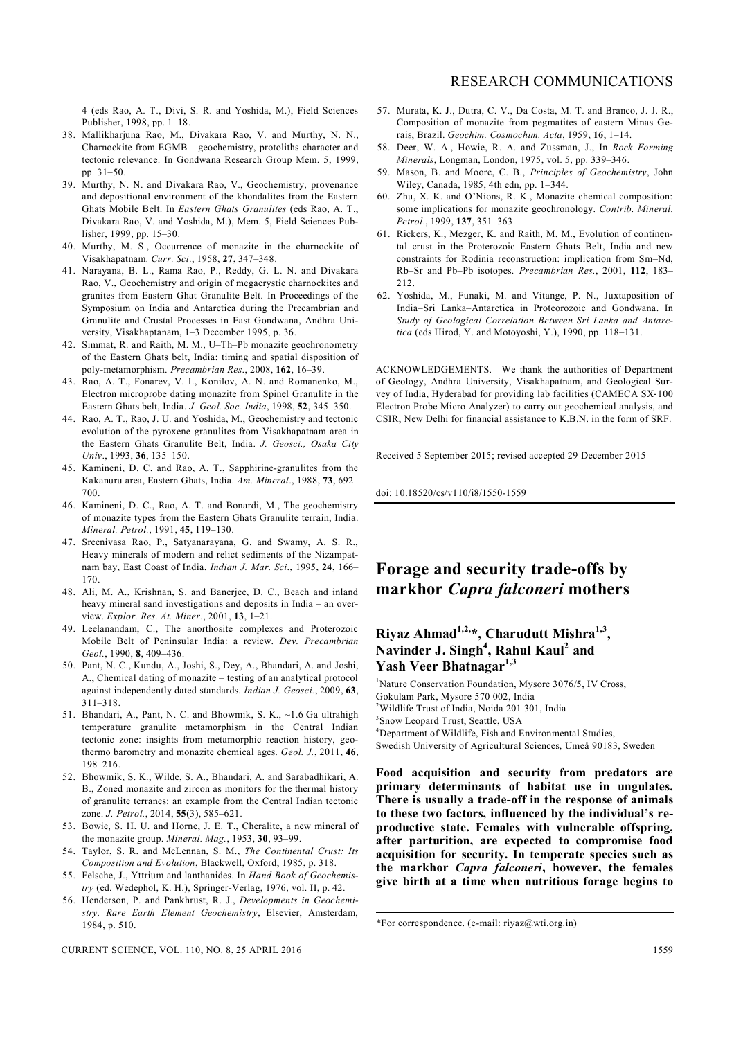4 (eds Rao, A. T., Divi, S. R. and Yoshida, M.), Field Sciences Publisher, 1998, pp. 1–18.

- 38. Mallikharjuna Rao, M., Divakara Rao, V. and Murthy, N. N., Charnockite from EGMB – geochemistry, protoliths character and tectonic relevance. In Gondwana Research Group Mem. 5, 1999, pp. 31–50.
- 39. Murthy, N. N. and Divakara Rao, V., Geochemistry, provenance and depositional environment of the khondalites from the Eastern Ghats Mobile Belt. In *Eastern Ghats Granulites* (eds Rao, A. T., Divakara Rao, V. and Yoshida, M.), Mem. 5, Field Sciences Publisher, 1999, pp. 15–30.
- 40. Murthy, M. S., Occurrence of monazite in the charnockite of Visakhapatnam. *Curr. Sci*., 1958, **27**, 347–348.
- 41. Narayana, B. L., Rama Rao, P., Reddy, G. L. N. and Divakara Rao, V., Geochemistry and origin of megacrystic charnockites and granites from Eastern Ghat Granulite Belt. In Proceedings of the Symposium on India and Antarctica during the Precambrian and Granulite and Crustal Processes in East Gondwana, Andhra University, Visakhaptanam, 1–3 December 1995, p. 36.
- 42. Simmat, R. and Raith, M. M., U–Th–Pb monazite geochronometry of the Eastern Ghats belt, India: timing and spatial disposition of poly-metamorphism. *Precambrian Res*., 2008, **162**, 16–39.
- 43. Rao, A. T., Fonarev, V. I., Konilov, A. N. and Romanenko, M., Electron microprobe dating monazite from Spinel Granulite in the Eastern Ghats belt, India. *J. Geol. Soc. India*, 1998, **52**, 345–350.
- 44. Rao, A. T., Rao, J. U. and Yoshida, M., Geochemistry and tectonic evolution of the pyroxene granulites from Visakhapatnam area in the Eastern Ghats Granulite Belt, India. *J. Geosci., Osaka City Univ*., 1993, **36**, 135–150.
- 45. Kamineni, D. C. and Rao, A. T., Sapphirine-granulites from the Kakanuru area, Eastern Ghats, India. *Am. Mineral*., 1988, **73**, 692– 700.
- 46. Kamineni, D. C., Rao, A. T. and Bonardi, M., The geochemistry of monazite types from the Eastern Ghats Granulite terrain, India. *Mineral. Petrol.*, 1991, **45**, 119–130.
- 47. Sreenivasa Rao, P., Satyanarayana, G. and Swamy, A. S. R., Heavy minerals of modern and relict sediments of the Nizampatnam bay, East Coast of India. *Indian J. Mar. Sci*., 1995, **24**, 166– 170.
- 48. Ali, M. A., Krishnan, S. and Banerjee, D. C., Beach and inland heavy mineral sand investigations and deposits in India – an overview. *Explor. Res. At. Miner*., 2001, **13**, 1–21.
- 49. Leelanandam, C., The anorthosite complexes and Proterozoic Mobile Belt of Peninsular India: a review. *Dev. Precambrian Geol.*, 1990, **8**, 409–436.
- 50. Pant, N. C., Kundu, A., Joshi, S., Dey, A., Bhandari, A. and Joshi, A., Chemical dating of monazite – testing of an analytical protocol against independently dated standards. *Indian J. Geosci.*, 2009, **63**, 311–318.
- 51. Bhandari, A., Pant, N. C. and Bhowmik, S. K., ~1.6 Ga ultrahigh temperature granulite metamorphism in the Central Indian tectonic zone: insights from metamorphic reaction history, geothermo barometry and monazite chemical ages. *Geol. J.*, 2011, **46**, 198–216.
- 52. Bhowmik, S. K., Wilde, S. A., Bhandari, A. and Sarabadhikari, A. B., Zoned monazite and zircon as monitors for the thermal history of granulite terranes: an example from the Central Indian tectonic zone. *J. Petrol.*, 2014, **55**(3), 585–621.
- 53. Bowie, S. H. U. and Horne, J. E. T., Cheralite, a new mineral of the monazite group. *Mineral. Mag.*, 1953, **30**, 93–99.
- 54. Taylor, S. R. and McLennan, S. M., *The Continental Crust: Its Composition and Evolution*, Blackwell, Oxford, 1985, p. 318.
- 55. Felsche, J., Yttrium and lanthanides. In *Hand Book of Geochemistry* (ed. Wedephol, K. H.), Springer-Verlag, 1976, vol. II, p. 42.
- 56. Henderson, P. and Pankhrust, R. J., *Developments in Geochemistry, Rare Earth Element Geochemistry*, Elsevier, Amsterdam, 1984, p. 510.

CURRENT SCIENCE, VOL. 110, NO. 8, 25 APRIL 2016 1559

- 57. Murata, K. J., Dutra, C. V., Da Costa, M. T. and Branco, J. J. R., Composition of monazite from pegmatites of eastern Minas Gerais, Brazil. *Geochim. Cosmochim. Acta*, 1959, **16**, 1–14.
- 58. Deer, W. A., Howie, R. A. and Zussman, J., In *Rock Forming Minerals*, Longman, London, 1975, vol. 5, pp. 339–346.
- 59. Mason, B. and Moore, C. B., *Principles of Geochemistry*, John Wiley, Canada, 1985, 4th edn, pp. 1–344.
- 60. Zhu, X. K. and O'Nions, R. K., Monazite chemical composition: some implications for monazite geochronology. *Contrib. Mineral. Petrol*., 1999, **137**, 351–363.
- 61. Rickers, K., Mezger, K. and Raith, M. M., Evolution of continental crust in the Proterozoic Eastern Ghats Belt, India and new constraints for Rodinia reconstruction: implication from Sm–Nd, Rb–Sr and Pb–Pb isotopes. *Precambrian Res.*, 2001, **112**, 183– 212.
- 62. Yoshida, M., Funaki, M. and Vitange, P. N., Juxtaposition of India–Sri Lanka–Antarctica in Proteorozoic and Gondwana. In *Study of Geological Correlation Between Sri Lanka and Antarctica* (eds Hirod, Y. and Motoyoshi, Y.), 1990, pp. 118–131.

ACKNOWLEDGEMENTS. We thank the authorities of Department of Geology, Andhra University, Visakhapatnam, and Geological Survey of India, Hyderabad for providing lab facilities (CAMECA SX‐100 Electron Probe Micro Analyzer) to carry out geochemical analysis, and CSIR, New Delhi for financial assistance to K.B.N. in the form of SRF.

Received 5 September 2015; revised accepted 29 December 2015

doi: 10.18520/cs/v110/i8/1550-1559

## **Forage and security trade-offs by markhor** *Capra falconeri* **mothers**

## **Riyaz Ahmad1,2,\*, Charudutt Mishra1,3 , Navinder J. Singh<sup>4</sup> , Rahul Kaul<sup>2</sup> and Yash Veer Bhatnagar1,3**

<sup>1</sup>Nature Conservation Foundation, Mysore 3076/5, IV Cross, Gokulam Park, Mysore 570 002, India <sup>2</sup>Wildlife Trust of India, Noida 201 301, India 3 Snow Leopard Trust, Seattle, USA <sup>4</sup>Department of Wildlife, Fish and Environmental Studies, Swedish University of Agricultural Sciences, Umeå 90183, Sweden

**Food acquisition and security from predators are primary determinants of habitat use in ungulates. There is usually a trade-off in the response of animals to these two factors, influenced by the individual's reproductive state. Females with vulnerable offspring, after parturition, are expected to compromise food acquisition for security. In temperate species such as the markhor** *Capra falconeri***, however, the females give birth at a time when nutritious forage begins to** 

<sup>\*</sup>For correspondence. (e-mail: riyaz@wti.org.in)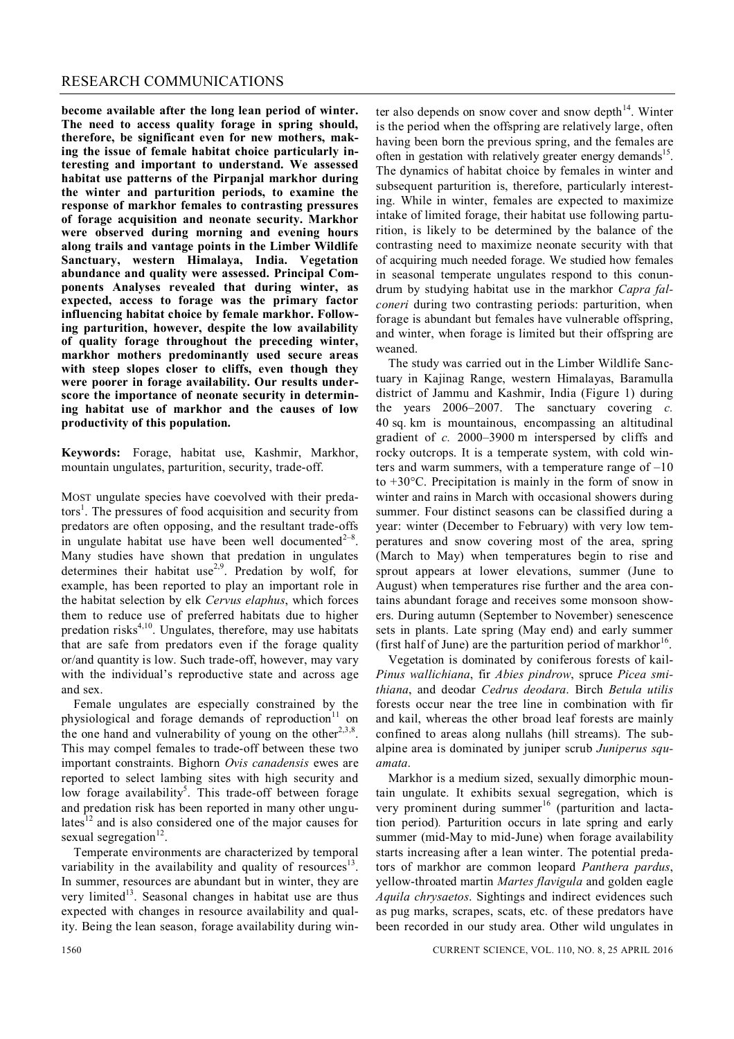**become available after the long lean period of winter. The need to access quality forage in spring should, therefore, be significant even for new mothers, making the issue of female habitat choice particularly interesting and important to understand. We assessed habitat use patterns of the Pirpanjal markhor during the winter and parturition periods, to examine the response of markhor females to contrasting pressures of forage acquisition and neonate security. Markhor were observed during morning and evening hours along trails and vantage points in the Limber Wildlife Sanctuary, western Himalaya, India. Vegetation abundance and quality were assessed. Principal Components Analyses revealed that during winter, as expected, access to forage was the primary factor influencing habitat choice by female markhor. Following parturition, however, despite the low availability of quality forage throughout the preceding winter, markhor mothers predominantly used secure areas with steep slopes closer to cliffs, even though they were poorer in forage availability. Our results underscore the importance of neonate security in determining habitat use of markhor and the causes of low productivity of this population.**

**Keywords:** Forage, habitat use, Kashmir, Markhor, mountain ungulates, parturition, security, trade-off.

MOST ungulate species have coevolved with their predators<sup>1</sup>. The pressures of food acquisition and security from predators are often opposing, and the resultant trade-offs in ungulate habitat use have been well documented $2^{-8}$ . Many studies have shown that predation in ungulates determines their habitat use<sup>2,9</sup>. Predation by wolf, for example, has been reported to play an important role in the habitat selection by elk *Cervus elaphus*, which forces them to reduce use of preferred habitats due to higher predation risks<sup>4,10</sup>. Ungulates, therefore, may use habitats that are safe from predators even if the forage quality or/and quantity is low. Such trade-off, however, may vary with the individual's reproductive state and across age and sex.

Female ungulates are especially constrained by the physiological and forage demands of reproduction $11$  on the one hand and vulnerability of young on the other<sup>2,3,8</sup>. This may compel females to trade-off between these two important constraints. Bighorn *Ovis canadensis* ewes are reported to select lambing sites with high security and low forage availability<sup>5</sup>. This trade-off between forage and predation risk has been reported in many other ungulates $12$  and is also considered one of the major causes for sexual segregation<sup>12</sup>.

Temperate environments are characterized by temporal variability in the availability and quality of resources $13$ . In summer, resources are abundant but in winter, they are very limited<sup>13</sup>. Seasonal changes in habitat use are thus expected with changes in resource availability and quality. Being the lean season, forage availability during win-

ter also depends on snow cover and snow depth $14$ . Winter is the period when the offspring are relatively large, often having been born the previous spring, and the females are often in gestation with relatively greater energy demands<sup>15</sup>. The dynamics of habitat choice by females in winter and subsequent parturition is, therefore, particularly interesting. While in winter, females are expected to maximize intake of limited forage, their habitat use following parturition, is likely to be determined by the balance of the contrasting need to maximize neonate security with that of acquiring much needed forage. We studied how females in seasonal temperate ungulates respond to this conundrum by studying habitat use in the markhor *Capra falconeri* during two contrasting periods: parturition, when forage is abundant but females have vulnerable offspring, and winter, when forage is limited but their offspring are weaned.

The study was carried out in the Limber Wildlife Sanctuary in Kajinag Range, western Himalayas, Baramulla district of Jammu and Kashmir, India (Figure 1) during the years 2006–2007. The sanctuary covering *c.* 40 sq. km is mountainous, encompassing an altitudinal gradient of *c.* 2000–3900 m interspersed by cliffs and rocky outcrops. It is a temperate system, with cold winters and warm summers, with a temperature range of  $-10$ to  $+30^{\circ}$ C. Precipitation is mainly in the form of snow in winter and rains in March with occasional showers during summer. Four distinct seasons can be classified during a year: winter (December to February) with very low temperatures and snow covering most of the area, spring (March to May) when temperatures begin to rise and sprout appears at lower elevations, summer (June to August) when temperatures rise further and the area contains abundant forage and receives some monsoon showers. During autumn (September to November) senescence sets in plants. Late spring (May end) and early summer (first half of June) are the parturition period of markhor $^{16}$ .

Vegetation is dominated by coniferous forests of kail-*Pinus wallichiana*, fir *Abies pindrow*, spruce *Picea smithiana*, and deodar *Cedrus deodara*. Birch *Betula utilis* forests occur near the tree line in combination with fir and kail, whereas the other broad leaf forests are mainly confined to areas along nullahs (hill streams). The subalpine area is dominated by juniper scrub *Juniperus squamata*.

Markhor is a medium sized, sexually dimorphic mountain ungulate. It exhibits sexual segregation, which is very prominent during summer<sup>16</sup> (parturition and lactation period)*.* Parturition occurs in late spring and early summer (mid-May to mid-June) when forage availability starts increasing after a lean winter. The potential predators of markhor are common leopard *Panthera pardus*, yellow-throated martin *Martes flavigula* and golden eagle *Aquila chrysaetos*. Sightings and indirect evidences such as pug marks, scrapes, scats, etc. of these predators have been recorded in our study area. Other wild ungulates in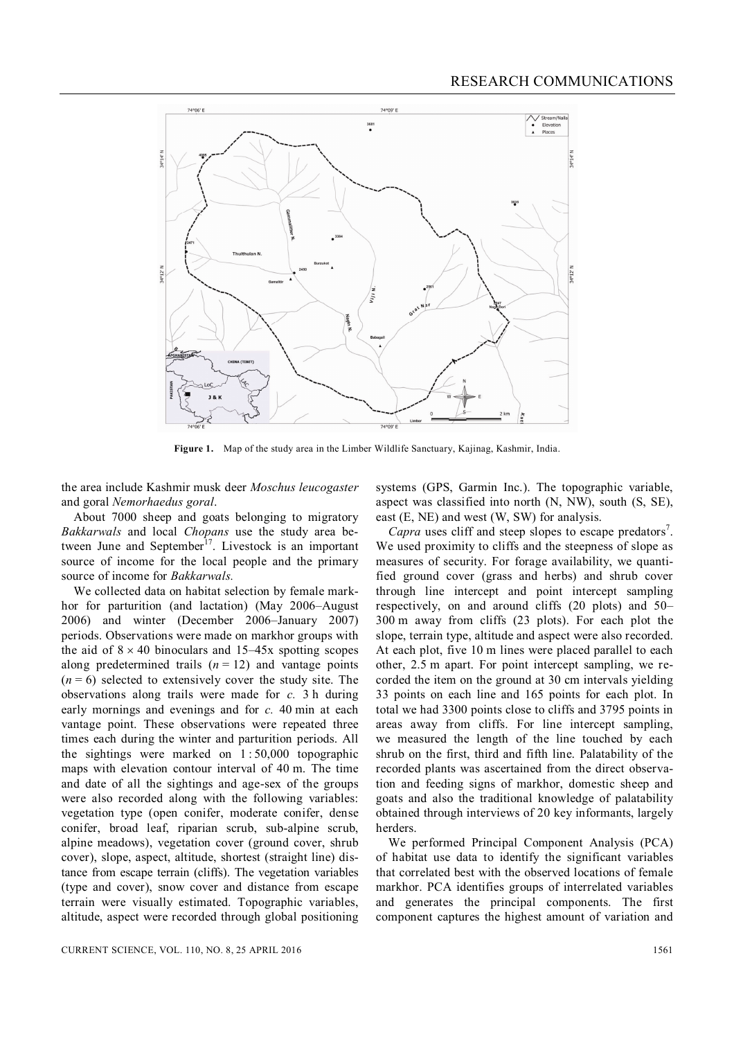

**Figure 1.** Map of the study area in the Limber Wildlife Sanctuary, Kajinag, Kashmir, India.

the area include Kashmir musk deer *Moschus leucogaster* and goral *Nemorhaedus goral*.

About 7000 sheep and goats belonging to migratory *Bakkarwals* and local *Chopans* use the study area between June and September<sup>17</sup>. Livestock is an important source of income for the local people and the primary source of income for *Bakkarwals.*

We collected data on habitat selection by female markhor for parturition (and lactation) (May 2006–August 2006) and winter (December 2006–January 2007) periods. Observations were made on markhor groups with the aid of  $8 \times 40$  binoculars and  $15-45x$  spotting scopes along predetermined trails  $(n = 12)$  and vantage points  $(n=6)$  selected to extensively cover the study site. The observations along trails were made for *c.* 3 h during early mornings and evenings and for *c.* 40 min at each vantage point. These observations were repeated three times each during the winter and parturition periods. All the sightings were marked on  $1:50,000$  topographic maps with elevation contour interval of 40 m. The time and date of all the sightings and age-sex of the groups were also recorded along with the following variables: vegetation type (open conifer, moderate conifer, dense conifer, broad leaf, riparian scrub, sub-alpine scrub, alpine meadows), vegetation cover (ground cover, shrub cover), slope, aspect, altitude, shortest (straight line) distance from escape terrain (cliffs). The vegetation variables (type and cover), snow cover and distance from escape terrain were visually estimated. Topographic variables, altitude, aspect were recorded through global positioning

systems (GPS, Garmin Inc.). The topographic variable, aspect was classified into north (N, NW), south (S, SE), east (E, NE) and west (W, SW) for analysis.

Capra uses cliff and steep slopes to escape predators<sup>7</sup>. We used proximity to cliffs and the steepness of slope as measures of security. For forage availability, we quantified ground cover (grass and herbs) and shrub cover through line intercept and point intercept sampling respectively, on and around cliffs (20 plots) and 50– 300 m away from cliffs (23 plots). For each plot the slope, terrain type, altitude and aspect were also recorded. At each plot, five 10 m lines were placed parallel to each other, 2.5 m apart. For point intercept sampling, we recorded the item on the ground at 30 cm intervals yielding 33 points on each line and 165 points for each plot. In total we had 3300 points close to cliffs and 3795 points in areas away from cliffs. For line intercept sampling, we measured the length of the line touched by each shrub on the first, third and fifth line. Palatability of the recorded plants was ascertained from the direct observation and feeding signs of markhor, domestic sheep and goats and also the traditional knowledge of palatability obtained through interviews of 20 key informants, largely herders.

We performed Principal Component Analysis (PCA) of habitat use data to identify the significant variables that correlated best with the observed locations of female markhor. PCA identifies groups of interrelated variables and generates the principal components. The first component captures the highest amount of variation and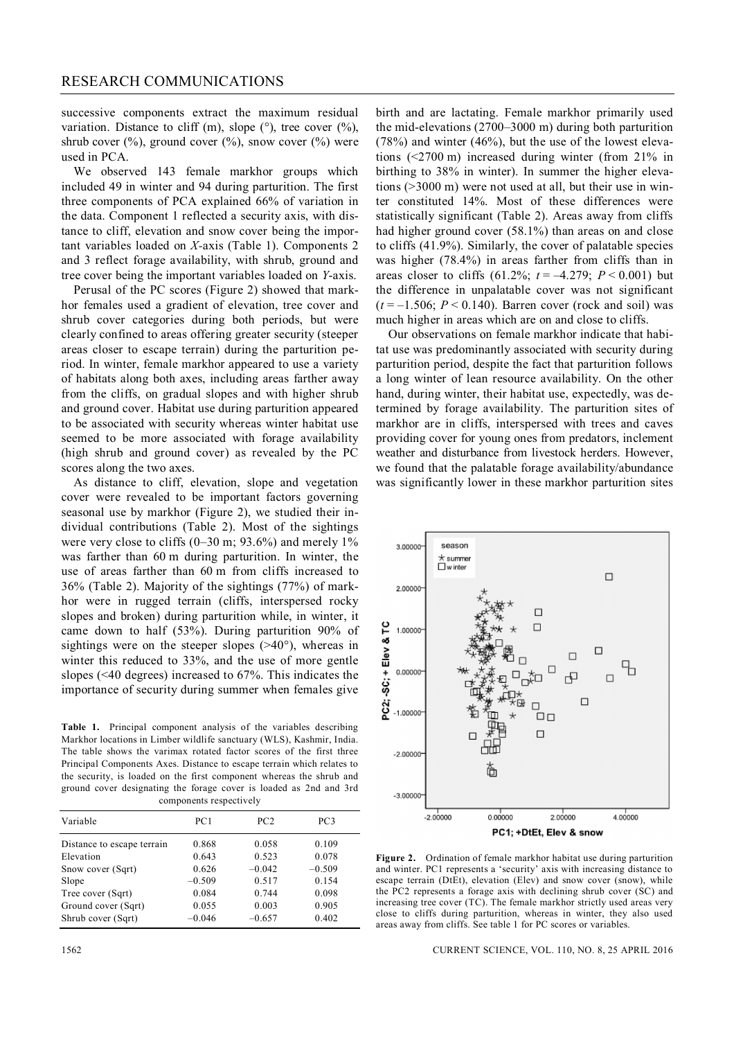successive components extract the maximum residual variation. Distance to cliff (m), slope  $(\degree)$ , tree cover  $(\%)$ , shrub cover  $(\%)$ , ground cover  $(\%)$ , snow cover  $(\%)$  were used in PCA.

We observed 143 female markhor groups which included 49 in winter and 94 during parturition. The first three components of PCA explained 66% of variation in the data. Component 1 reflected a security axis, with distance to cliff, elevation and snow cover being the important variables loaded on *X-*axis (Table 1). Components 2 and 3 reflect forage availability, with shrub, ground and tree cover being the important variables loaded on *Y*-axis.

Perusal of the PC scores (Figure 2) showed that markhor females used a gradient of elevation, tree cover and shrub cover categories during both periods, but were clearly confined to areas offering greater security (steeper areas closer to escape terrain) during the parturition period. In winter, female markhor appeared to use a variety of habitats along both axes, including areas farther away from the cliffs, on gradual slopes and with higher shrub and ground cover. Habitat use during parturition appeared to be associated with security whereas winter habitat use seemed to be more associated with forage availability (high shrub and ground cover) as revealed by the PC scores along the two axes.

As distance to cliff, elevation, slope and vegetation cover were revealed to be important factors governing seasonal use by markhor (Figure 2), we studied their individual contributions (Table 2). Most of the sightings were very close to cliffs (0–30 m; 93.6%) and merely 1% was farther than 60 m during parturition. In winter, the use of areas farther than 60 m from cliffs increased to 36% (Table 2). Majority of the sightings (77%) of markhor were in rugged terrain (cliffs, interspersed rocky slopes and broken) during parturition while, in winter, it came down to half (53%). During parturition 90% of sightings were on the steeper slopes  $(>=40^{\circ})$ , whereas in winter this reduced to 33%, and the use of more gentle slopes (<40 degrees) increased to 67%. This indicates the importance of security during summer when females give

**Table 1.** Principal component analysis of the variables describing Markhor locations in Limber wildlife sanctuary (WLS), Kashmir, India. The table shows the varimax rotated factor scores of the first three Principal Components Axes. Distance to escape terrain which relates to the security, is loaded on the first component whereas the shrub and ground cover designating the forage cover is loaded as 2nd and 3rd components respectively

| Variable                   | PC1      | PC2      | PC3      |  |
|----------------------------|----------|----------|----------|--|
| Distance to escape terrain | 0.868    | 0.058    | 0.109    |  |
| Elevation                  | 0.643    | 0.523    | 0.078    |  |
| Snow cover (Sqrt)          | 0.626    | $-0.042$ | $-0.509$ |  |
| Slope                      | $-0.509$ | 0.517    | 0.154    |  |
| Tree cover (Sqrt)          | 0.084    | 0.744    | 0.098    |  |
| Ground cover (Sqrt)        | 0.055    | 0.003    | 0.905    |  |
| Shrub cover (Sqrt)         | $-0.046$ | $-0.657$ | 0.402    |  |

birth and are lactating. Female markhor primarily used the mid-elevations (2700–3000 m) during both parturition (78%) and winter (46%), but the use of the lowest elevations (<2700 m) increased during winter (from 21% in birthing to 38% in winter). In summer the higher elevations (>3000 m) were not used at all, but their use in winter constituted 14%. Most of these differences were statistically significant (Table 2). Areas away from cliffs had higher ground cover (58.1%) than areas on and close to cliffs (41.9%). Similarly, the cover of palatable species was higher (78.4%) in areas farther from cliffs than in areas closer to cliffs  $(61.2\%; t = -4.279; P < 0.001)$  but the difference in unpalatable cover was not significant  $(t = -1.506; P \le 0.140)$ . Barren cover (rock and soil) was much higher in areas which are on and close to cliffs.

Our observations on female markhor indicate that habitat use was predominantly associated with security during parturition period, despite the fact that parturition follows a long winter of lean resource availability. On the other hand, during winter, their habitat use, expectedly, was determined by forage availability. The parturition sites of markhor are in cliffs, interspersed with trees and caves providing cover for young ones from predators, inclement weather and disturbance from livestock herders. However, we found that the palatable forage availability/abundance was significantly lower in these markhor parturition sites



**Figure 2.** Ordination of female markhor habitat use during parturition and winter. PC1 represents a 'security' axis with increasing distance to escape terrain (DtEt), elevation (Elev) and snow cover (snow), while the PC2 represents a forage axis with declining shrub cover (SC) and increasing tree cover (TC). The female markhor strictly used areas very close to cliffs during parturition, whereas in winter, they also used areas away from cliffs. See table 1 for PC scores or variables.

1562 CURRENT SCIENCE, VOL. 110, NO. 8, 25 APRIL 2016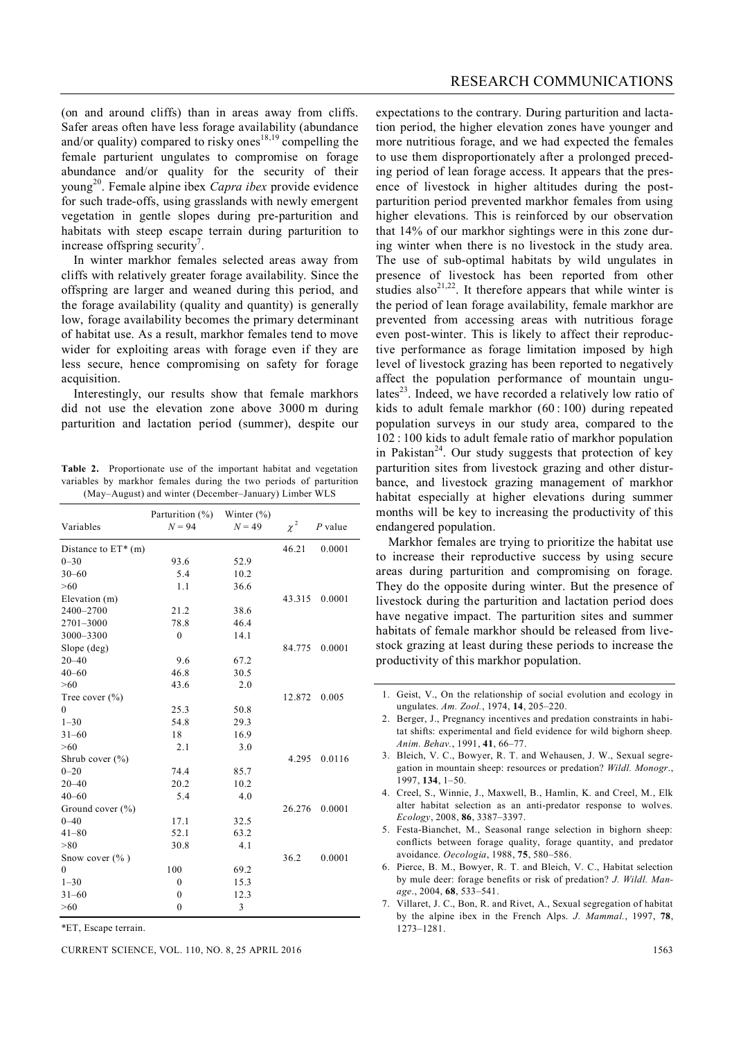(on and around cliffs) than in areas away from cliffs. Safer areas often have less forage availability (abundance and/or quality) compared to risky ones<sup>18,19</sup> compelling the female parturient ungulates to compromise on forage abundance and/or quality for the security of their young<sup>20</sup> . Female alpine ibex *Capra ibex* provide evidence for such trade-offs, using grasslands with newly emergent vegetation in gentle slopes during pre-parturition and habitats with steep escape terrain during parturition to increase offspring security<sup>7</sup>.

In winter markhor females selected areas away from cliffs with relatively greater forage availability. Since the offspring are larger and weaned during this period, and the forage availability (quality and quantity) is generally low, forage availability becomes the primary determinant of habitat use. As a result, markhor females tend to move wider for exploiting areas with forage even if they are less secure, hence compromising on safety for forage acquisition.

Interestingly, our results show that female markhors did not use the elevation zone above 3000 m during parturition and lactation period (summer), despite our

**Table 2.** Proportionate use of the important habitat and vegetation variables by markhor females during the two periods of parturition (May–August) and winter (December–January) Limber WLS

|                       | Parturition $(\% )$ | Winter $(\% )$ |          |           |
|-----------------------|---------------------|----------------|----------|-----------|
| Variables             | $N = 94$            | $N = 49$       | $\chi^2$ | $P$ value |
| Distance to $ET^*(m)$ |                     |                | 46.21    | 0.0001    |
| $0 - 30$              | 93.6                | 52.9           |          |           |
| $30 - 60$             | 5.4                 | 10.2           |          |           |
| $>60$                 | 1.1                 | 36.6           |          |           |
| Elevation (m)         |                     |                | 43.315   | 0.0001    |
| 2400-2700             | 21.2                | 38.6           |          |           |
| 2701-3000             | 78.8                | 46.4           |          |           |
| 3000-3300             | $\mathbf{0}$        | 14.1           |          |           |
| Slope (deg)           |                     |                | 84.775   | 0.0001    |
| $20 - 40$             | 9.6                 | 67.2           |          |           |
| $40 - 60$             | 46.8                | 30.5           |          |           |
| >60                   | 43.6                | 2.0            |          |           |
| Tree cover $(\% )$    |                     |                | 12.872   | 0.005     |
| $\theta$              | 25.3                | 50.8           |          |           |
| $1 - 30$              | 54.8                | 29.3           |          |           |
| $31 - 60$             | 18                  | 16.9           |          |           |
| >60                   | 2.1                 | 3.0            |          |           |
| Shrub cover $(\% )$   |                     |                | 4.295    | 0.0116    |
| $0 - 20$              | 74.4                | 85.7           |          |           |
| $20 - 40$             | 20.2                | 10.2           |          |           |
| $40 - 60$             | 5.4                 | 4.0            |          |           |
| Ground cover $(\% )$  |                     |                | 26.276   | 0.0001    |
| $0 - 40$              | 17.1                | 32.5           |          |           |
| $41 - 80$             | 52.1                | 63.2           |          |           |
| > 80                  | 30.8                | 4.1            |          |           |
| Snow cover $(\%$ )    |                     |                | 36.2     | 0.0001    |
| $\Omega$              | 100                 | 69.2           |          |           |
| $1 - 30$              | $\mathbf{0}$        | 15.3           |          |           |
| $31 - 60$             | $\mathbf{0}$        | 12.3           |          |           |
| >60                   | $\mathbf{0}$        | 3              |          |           |

\*ET, Escape terrain.

CURRENT SCIENCE, VOL. 110, NO. 8, 25 APRIL 2016 1563

expectations to the contrary. During parturition and lactation period, the higher elevation zones have younger and more nutritious forage, and we had expected the females to use them disproportionately after a prolonged preceding period of lean forage access. It appears that the presence of livestock in higher altitudes during the postparturition period prevented markhor females from using higher elevations. This is reinforced by our observation that 14% of our markhor sightings were in this zone during winter when there is no livestock in the study area. The use of sub-optimal habitats by wild ungulates in presence of livestock has been reported from other studies also<sup>21,22</sup>. It therefore appears that while winter is the period of lean forage availability, female markhor are prevented from accessing areas with nutritious forage even post-winter. This is likely to affect their reproductive performance as forage limitation imposed by high level of livestock grazing has been reported to negatively affect the population performance of mountain ungulates<sup>23</sup>. Indeed, we have recorded a relatively low ratio of kids to adult female markhor (60 : 100) during repeated population surveys in our study area, compared to the 102 : 100 kids to adult female ratio of markhor population in Pakistan<sup>24</sup>. Our study suggests that protection of key parturition sites from livestock grazing and other disturbance, and livestock grazing management of markhor habitat especially at higher elevations during summer months will be key to increasing the productivity of this endangered population.

Markhor females are trying to prioritize the habitat use to increase their reproductive success by using secure areas during parturition and compromising on forage. They do the opposite during winter. But the presence of livestock during the parturition and lactation period does have negative impact. The parturition sites and summer habitats of female markhor should be released from livestock grazing at least during these periods to increase the productivity of this markhor population.

- 3. Bleich, V. C., Bowyer, R. T. and Wehausen, J. W., Sexual segregation in mountain sheep: resources or predation? *Wildl. Monogr*., 1997, **134**, 1–50.
- 4. Creel, S., Winnie, J., Maxwell, B., Hamlin, K. and Creel, M., Elk alter habitat selection as an anti-predator response to wolves. *Ecology*, 2008, **86**, 3387–3397.
- 5. Festa-Bianchet, M., Seasonal range selection in bighorn sheep: conflicts between forage quality, forage quantity, and predator avoidance. *Oecologia*, 1988, **75**, 580–586.
- 6. Pierce, B. M., Bowyer, R. T. and Bleich, V. C., Habitat selection by mule deer: forage benefits or risk of predation? *J. Wildl. Manage*., 2004, **68**, 533–541.
- 7. Villaret, J. C., Bon, R. and Rivet, A., Sexual segregation of habitat by the alpine ibex in the French Alps. *J. Mammal.*, 1997, **78**, 1273–1281.

<sup>1.</sup> Geist, V., On the relationship of social evolution and ecology in ungulates. *Am. Zool.*, 1974, **14**, 205–220.

<sup>2.</sup> Berger, J., Pregnancy incentives and predation constraints in habitat shifts: experimental and field evidence for wild bighorn sheep*. Anim. Behav.*, 1991, **41**, 66–77.